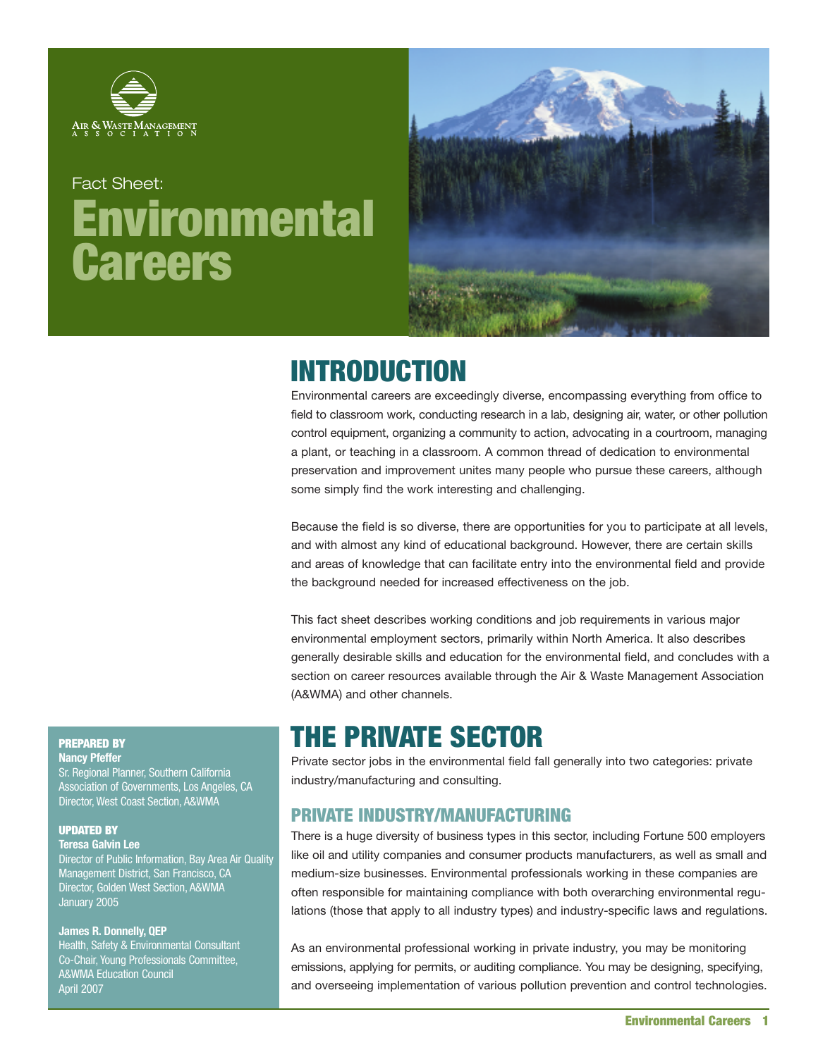

# Fact Sheet: **Environmental Careers**



## **INTRODUCTION**

Environmental careers are exceedingly diverse, encompassing everything from office to field to classroom work, conducting research in a lab, designing air, water, or other pollution control equipment, organizing a community to action, advocating in a courtroom, managing a plant, or teaching in a classroom. A common thread of dedication to environmental preservation and improvement unites many people who pursue these careers, although some simply find the work interesting and challenging.

Because the field is so diverse, there are opportunities for you to participate at all levels, and with almost any kind of educational background. However, there are certain skills and areas of knowledge that can facilitate entry into the environmental field and provide the background needed for increased effectiveness on the job.

This fact sheet describes working conditions and job requirements in various major environmental employment sectors, primarily within North America. It also describes generally desirable skills and education for the environmental field, and concludes with a section on career resources available through the Air & Waste Management Association (A&WMA) and other channels.

## **THE PRIVATE SECTOR**

Private sector jobs in the environmental field fall generally into two categories: private industry/manufacturing and consulting.

### **PRIVATE INDUSTRY/MANUFACTURING**

There is a huge diversity of business types in this sector, including Fortune 500 employers like oil and utility companies and consumer products manufacturers, as well as small and medium-size businesses. Environmental professionals working in these companies are often responsible for maintaining compliance with both overarching environmental regulations (those that apply to all industry types) and industry-specific laws and regulations.

As an environmental professional working in private industry, you may be monitoring emissions, applying for permits, or auditing compliance. You may be designing, specifying, and overseeing implementation of various pollution prevention and control technologies.

### **PREPARED BY**

#### **Nancy Pfeffer**

Sr. Regional Planner, Southern California Association of Governments, Los Angeles, CA Director, West Coast Section, A&WMA

#### **UPDATED BY**

#### **Teresa Galvin Lee**

Director of Public Information, Bay Area Air Quality Management District, San Francisco, CA Director, Golden West Section, A&WMA January 2005

#### **James R. Donnelly, QEP**

Health, Safety & Environmental Consultant Co-Chair, Young Professionals Committee, A&WMA Education Council April 2007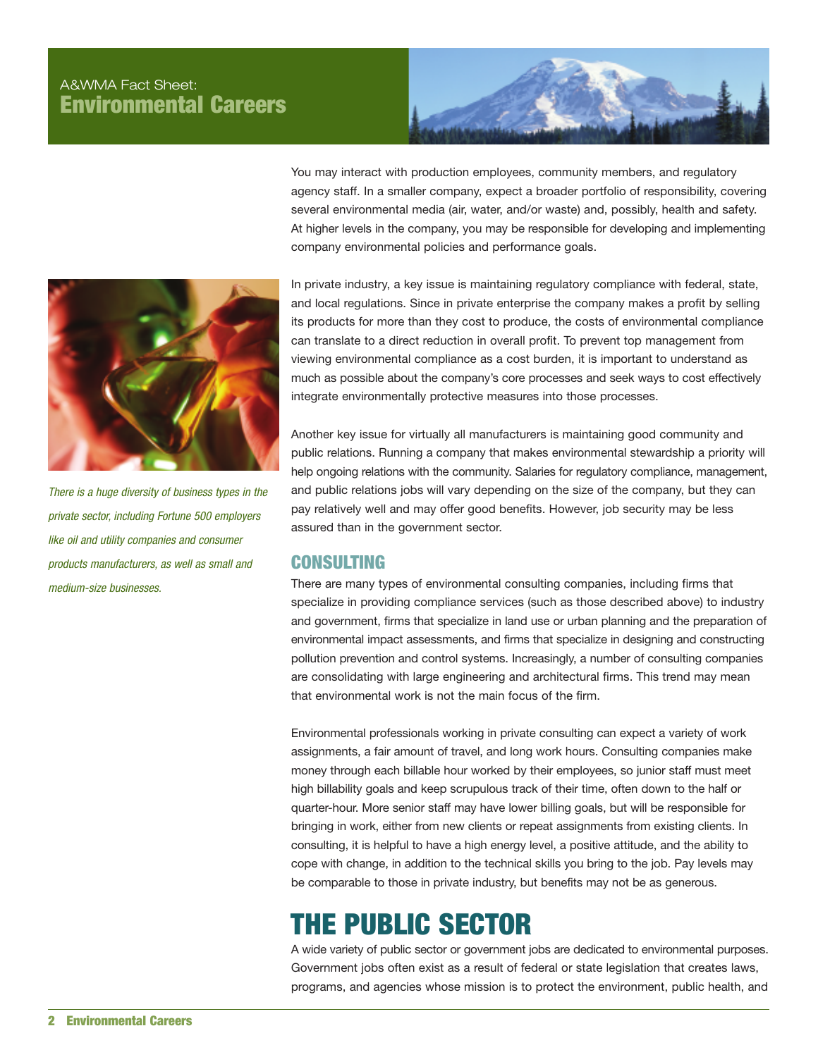### A&WMA Fact Sheet: **Environmental Careers**



*There is a huge diversity of business types in the private sector, including Fortune 500 employers like oil and utility companies and consumer products manufacturers, as well as small and medium-size businesses.*

You may interact with production employees, community members, and regulatory agency staff. In a smaller company, expect a broader portfolio of responsibility, covering several environmental media (air, water, and/or waste) and, possibly, health and safety. At higher levels in the company, you may be responsible for developing and implementing company environmental policies and performance goals.

In private industry, a key issue is maintaining regulatory compliance with federal, state, and local regulations. Since in private enterprise the company makes a profit by selling its products for more than they cost to produce, the costs of environmental compliance can translate to a direct reduction in overall profit. To prevent top management from viewing environmental compliance as a cost burden, it is important to understand as much as possible about the company's core processes and seek ways to cost effectively integrate environmentally protective measures into those processes.

Another key issue for virtually all manufacturers is maintaining good community and public relations. Running a company that makes environmental stewardship a priority will help ongoing relations with the community. Salaries for regulatory compliance, management, and public relations jobs will vary depending on the size of the company, but they can pay relatively well and may offer good benefits. However, job security may be less assured than in the government sector.

### **CONSULTING**

There are many types of environmental consulting companies, including firms that specialize in providing compliance services (such as those described above) to industry and government, firms that specialize in land use or urban planning and the preparation of environmental impact assessments, and firms that specialize in designing and constructing pollution prevention and control systems. Increasingly, a number of consulting companies are consolidating with large engineering and architectural firms. This trend may mean that environmental work is not the main focus of the firm.

Environmental professionals working in private consulting can expect a variety of work assignments, a fair amount of travel, and long work hours. Consulting companies make money through each billable hour worked by their employees, so junior staff must meet high billability goals and keep scrupulous track of their time, often down to the half or quarter-hour. More senior staff may have lower billing goals, but will be responsible for bringing in work, either from new clients or repeat assignments from existing clients. In consulting, it is helpful to have a high energy level, a positive attitude, and the ability to cope with change, in addition to the technical skills you bring to the job. Pay levels may be comparable to those in private industry, but benefits may not be as generous.

## **THE PUBLIC SECTOR**

A wide variety of public sector or government jobs are dedicated to environmental purposes. Government jobs often exist as a result of federal or state legislation that creates laws, programs, and agencies whose mission is to protect the environment, public health, and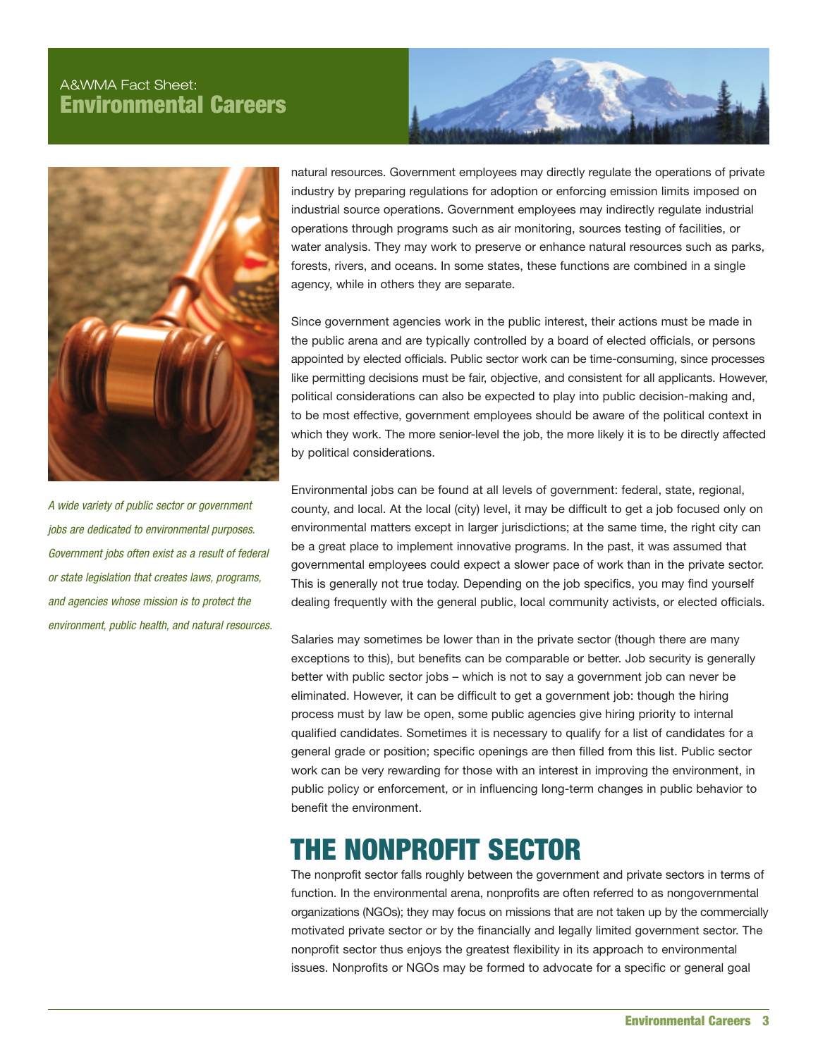### A&WMA Fact Sheet: **Environmental Careers**



*A wide variety of public sector or government jobs are dedicated to environmental purposes. Government jobs often exist as a result of federal or state legislation that creates laws, programs, and agencies whose mission is to protect the environment, public health, and natural resources.* natural resources. Government employees may directly regulate the operations of private industry by preparing regulations for adoption or enforcing emission limits imposed on industrial source operations. Government employees may indirectly regulate industrial operations through programs such as air monitoring, sources testing of facilities, or water analysis. They may work to preserve or enhance natural resources such as parks, forests, rivers, and oceans. In some states, these functions are combined in a single agency, while in others they are separate.

Since government agencies work in the public interest, their actions must be made in the public arena and are typically controlled by a board of elected officials, or persons appointed by elected officials. Public sector work can be time-consuming, since processes like permitting decisions must be fair, objective, and consistent for all applicants. However, political considerations can also be expected to play into public decision-making and, to be most effective, government employees should be aware of the political context in which they work. The more senior-level the job, the more likely it is to be directly affected by political considerations.

Environmental jobs can be found at all levels of government: federal, state, regional, county, and local. At the local (city) level, it may be difficult to get a job focused only on environmental matters except in larger jurisdictions; at the same time, the right city can be a great place to implement innovative programs. In the past, it was assumed that governmental employees could expect a slower pace of work than in the private sector. This is generally not true today. Depending on the job specifics, you may find yourself dealing frequently with the general public, local community activists, or elected officials.

Salaries may sometimes be lower than in the private sector (though there are many exceptions to this), but benefits can be comparable or better. Job security is generally better with public sector jobs – which is not to say a government job can never be eliminated. However, it can be difficult to get a government job: though the hiring process must by law be open, some public agencies give hiring priority to internal qualified candidates. Sometimes it is necessary to qualify for a list of candidates for a general grade or position; specific openings are then filled from this list. Public sector work can be very rewarding for those with an interest in improving the environment, in public policy or enforcement, or in influencing long-term changes in public behavior to benefit the environment.

### **THE NONPROFIT SECTOR**

The nonprofit sector falls roughly between the government and private sectors in terms of function. In the environmental arena, nonprofits are often referred to as nongovernmental organizations (NGOs); they may focus on missions that are not taken up by the commercially motivated private sector or by the financially and legally limited government sector. The nonprofit sector thus enjoys the greatest flexibility in its approach to environmental issues. Nonprofits or NGOs may be formed to advocate for a specific or general goal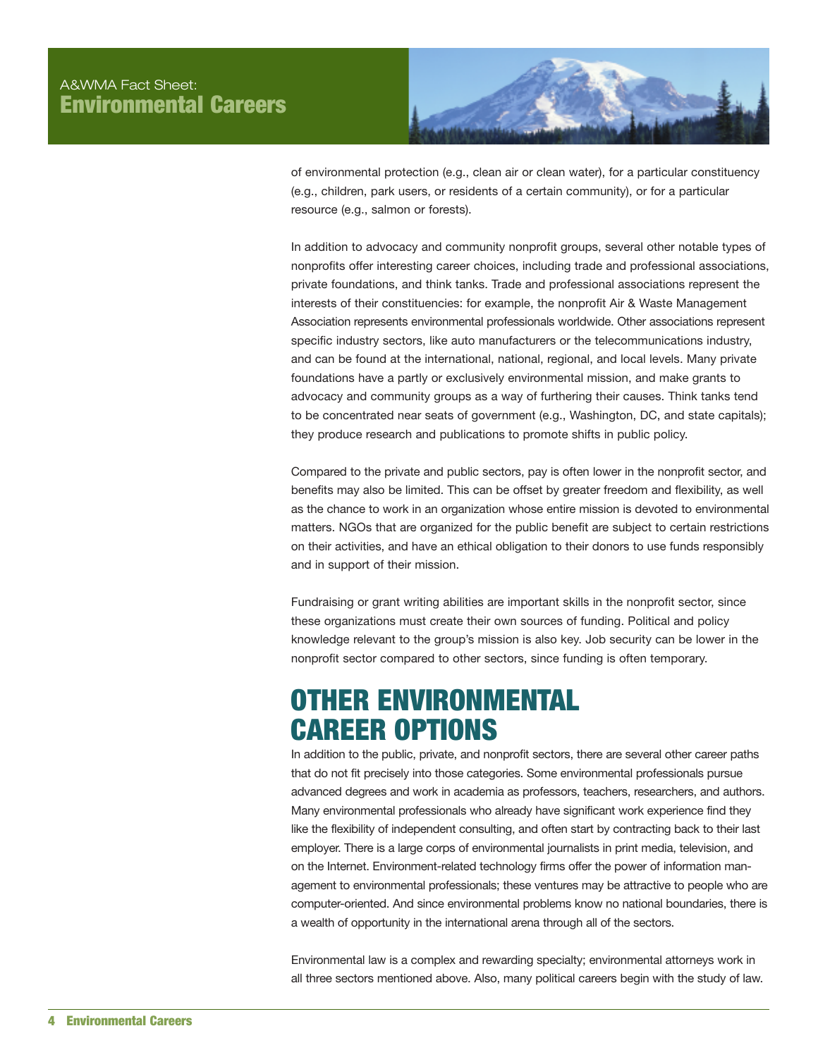

of environmental protection (e.g., clean air or clean water), for a particular constituency (e.g., children, park users, or residents of a certain community), or for a particular resource (e.g., salmon or forests).

In addition to advocacy and community nonprofit groups, several other notable types of nonprofits offer interesting career choices, including trade and professional associations, private foundations, and think tanks. Trade and professional associations represent the interests of their constituencies: for example, the nonprofit Air & Waste Management Association represents environmental professionals worldwide. Other associations represent specific industry sectors, like auto manufacturers or the telecommunications industry, and can be found at the international, national, regional, and local levels. Many private foundations have a partly or exclusively environmental mission, and make grants to advocacy and community groups as a way of furthering their causes. Think tanks tend to be concentrated near seats of government (e.g., Washington, DC, and state capitals); they produce research and publications to promote shifts in public policy.

Compared to the private and public sectors, pay is often lower in the nonprofit sector, and benefits may also be limited. This can be offset by greater freedom and flexibility, as well as the chance to work in an organization whose entire mission is devoted to environmental matters. NGOs that are organized for the public benefit are subject to certain restrictions on their activities, and have an ethical obligation to their donors to use funds responsibly and in support of their mission.

Fundraising or grant writing abilities are important skills in the nonprofit sector, since these organizations must create their own sources of funding. Political and policy knowledge relevant to the group's mission is also key. Job security can be lower in the nonprofit sector compared to other sectors, since funding is often temporary.

### **OTHER ENVIRONMENTAL CAREER OPTIONS**

In addition to the public, private, and nonprofit sectors, there are several other career paths that do not fit precisely into those categories. Some environmental professionals pursue advanced degrees and work in academia as professors, teachers, researchers, and authors. Many environmental professionals who already have significant work experience find they like the flexibility of independent consulting, and often start by contracting back to their last employer. There is a large corps of environmental journalists in print media, television, and on the Internet. Environment-related technology firms offer the power of information management to environmental professionals; these ventures may be attractive to people who are computer-oriented. And since environmental problems know no national boundaries, there is a wealth of opportunity in the international arena through all of the sectors.

Environmental law is a complex and rewarding specialty; environmental attorneys work in all three sectors mentioned above. Also, many political careers begin with the study of law.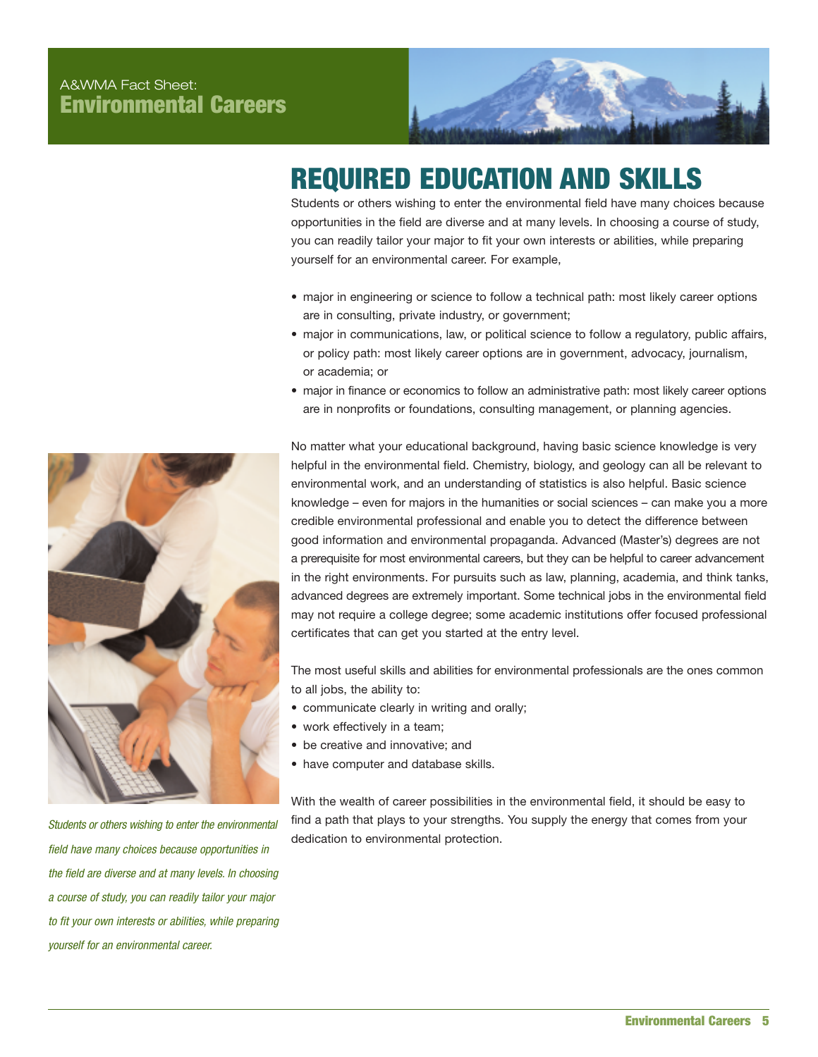

## **REQUIRED EDUCATION AND SKILLS**

Students or others wishing to enter the environmental field have many choices because opportunities in the field are diverse and at many levels. In choosing a course of study, you can readily tailor your major to fit your own interests or abilities, while preparing yourself for an environmental career. For example,

- major in engineering or science to follow a technical path: most likely career options are in consulting, private industry, or government;
- major in communications, law, or political science to follow a regulatory, public affairs, or policy path: most likely career options are in government, advocacy, journalism, or academia; or
- major in finance or economics to follow an administrative path: most likely career options are in nonprofits or foundations, consulting management, or planning agencies.



*Students or others wishing to enter the environmental field have many choices because opportunities in the field are diverse and at many levels. In choosing a course of study, you can readily tailor your major to fit your own interests or abilities, while preparing yourself for an environmental career.*

No matter what your educational background, having basic science knowledge is very helpful in the environmental field. Chemistry, biology, and geology can all be relevant to environmental work, and an understanding of statistics is also helpful. Basic science knowledge – even for majors in the humanities or social sciences – can make you a more credible environmental professional and enable you to detect the difference between good information and environmental propaganda. Advanced (Master's) degrees are not a prerequisite for most environmental careers, but they can be helpful to career advancement in the right environments. For pursuits such as law, planning, academia, and think tanks, advanced degrees are extremely important. Some technical jobs in the environmental field may not require a college degree; some academic institutions offer focused professional certificates that can get you started at the entry level.

The most useful skills and abilities for environmental professionals are the ones common to all jobs, the ability to:

- communicate clearly in writing and orally;
- work effectively in a team;
- be creative and innovative; and
- have computer and database skills.

With the wealth of career possibilities in the environmental field, it should be easy to find a path that plays to your strengths. You supply the energy that comes from your dedication to environmental protection.